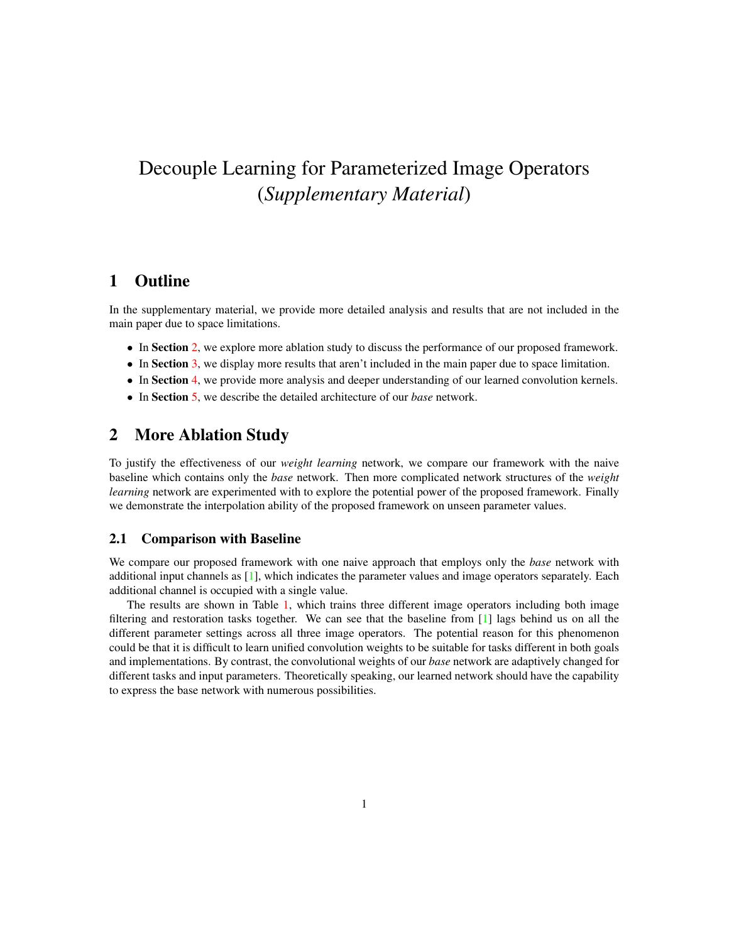# <span id="page-0-1"></span>Decouple Learning for Parameterized Image Operators (*Supplementary Material*)

## 1 Outline

In the supplementary material, we provide more detailed analysis and results that are not included in the main paper due to space limitations.

- In Section [2,](#page-0-0) we explore more ablation study to discuss the performance of our proposed framework.
- In Section [3,](#page-2-0) we display more results that aren't included in the main paper due to space limitation.
- In Section [4,](#page-3-0) we provide more analysis and deeper understanding of our learned convolution kernels.
- In Section [5,](#page-5-0) we describe the detailed architecture of our *base* network.

## <span id="page-0-0"></span>2 More Ablation Study

To justify the effectiveness of our *weight learning* network, we compare our framework with the naive baseline which contains only the *base* network. Then more complicated network structures of the *weight learning* network are experimented with to explore the potential power of the proposed framework. Finally we demonstrate the interpolation ability of the proposed framework on unseen parameter values.

#### 2.1 Comparison with Baseline

We compare our proposed framework with one naive approach that employs only the *base* network with additional input channels as [\[1\]](#page-6-0), which indicates the parameter values and image operators separately. Each additional channel is occupied with a single value.

The results are shown in Table [1,](#page-1-0) which trains three different image operators including both image filtering and restoration tasks together. We can see that the baseline from [\[1\]](#page-6-0) lags behind us on all the different parameter settings across all three image operators. The potential reason for this phenomenon could be that it is difficult to learn unified convolution weights to be suitable for tasks different in both goals and implementations. By contrast, the convolutional weights of our *base* network are adaptively changed for different tasks and input parameters. Theoretically speaking, our learned network should have the capability to express the base network with numerous possibilities.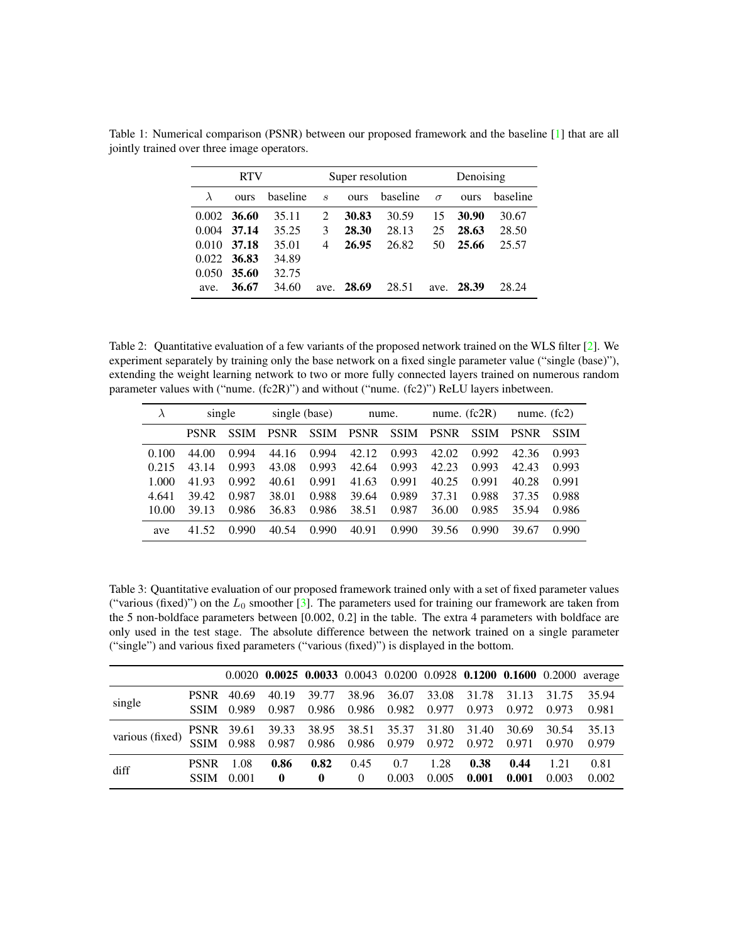|       | <b>RTV</b> |          | Super resolution            |       |          |          | Denoising  |          |  |  |
|-------|------------|----------|-----------------------------|-------|----------|----------|------------|----------|--|--|
|       | ours       | baseline | $\mathcal{S}_{\mathcal{S}}$ | ours  | baseline | $\sigma$ | ours       | baseline |  |  |
| 0.002 | 36.60      | 35.11    | 2                           | 30.83 | 30.59    | 15       | 30.90      | 30.67    |  |  |
| 0.004 | 37.14      | 35.25    | 3                           | 28.30 | 28.13    | 25       | 28.63      | 28.50    |  |  |
| 0.010 | 37.18      | 35.01    | 4                           | 26.95 | 26.82    | 50       | 25.66      | 25.57    |  |  |
| 0.022 | 36.83      | 34.89    |                             |       |          |          |            |          |  |  |
| 0.050 | 35.60      | 32.75    |                             |       |          |          |            |          |  |  |
| ave.  | 36.67      | 34.60    | ave.                        | 28.69 | 28.51    |          | ave. 28.39 | 28.24    |  |  |

<span id="page-1-3"></span><span id="page-1-0"></span>Table 1: Numerical comparison (PSNR) between our proposed framework and the baseline [\[1\]](#page-6-0) that are all jointly trained over three image operators.

<span id="page-1-1"></span>Table 2: Quantitative evaluation of a few variants of the proposed network trained on the WLS filter [\[2\]](#page-6-1). We experiment separately by training only the base network on a fixed single parameter value ("single (base)"), extending the weight learning network to two or more fully connected layers trained on numerous random parameter values with ("nume. (fc2R)") and without ("nume. (fc2)") ReLU layers inbetween.

|       | single      |             | single (base) |             | nume.       |             | nume. $(fc2R)$ |             | nume. $(fc2)$ |             |
|-------|-------------|-------------|---------------|-------------|-------------|-------------|----------------|-------------|---------------|-------------|
|       | <b>PSNR</b> | <b>SSIM</b> | <b>PSNR</b>   | <b>SSIM</b> | <b>PSNR</b> | <b>SSIM</b> | <b>PSNR</b>    | <b>SSIM</b> | <b>PSNR</b>   | <b>SSIM</b> |
| 0.100 | 44.00       | 0.994       | 44.16         | 0.994       | 42.12       | 0.993       | 42.02          | 0.992       | 42.36         | 0.993       |
| 0.215 | 43.14       | 0.993       | 43.08         | 0.993       | 42.64       | 0.993       | 42.23          | 0.993       | 42.43         | 0.993       |
| 1.000 | 41.93       | 0.992       | 40.61         | 0.991       | 41.63       | 0.991       | 40.25          | 0.991       | 40.28         | 0.991       |
| 4.641 | 39.42       | 0.987       | 38.01         | 0.988       | 39.64       | 0.989       | 37.31          | 0.988       | 37.35         | 0.988       |
| 10.00 | 39.13       | 0.986       | 36.83         | 0.986       | 38.51       | 0.987       | 36.00          | 0.985       | 35.94         | 0.986       |
| ave   | 41.52       | 0.990       | 40.54         | 0.990       | 40.91       | 0.990       | 39.56          | 0.990       | 39.67         | 0.990       |

<span id="page-1-2"></span>Table 3: Quantitative evaluation of our proposed framework trained only with a set of fixed parameter values ("various (fixed)") on the  $L_0$  smoother [\[3\]](#page-6-2). The parameters used for training our framework are taken from the 5 non-boldface parameters between [0.002, 0.2] in the table. The extra 4 parameters with boldface are only used in the test stage. The absolute difference between the network trained on a single parameter ("single") and various fixed parameters ("various (fixed)") is displayed in the bottom.

|                 |             |       |              |                   |          |                                          |       |       |       |       | 0.0020 0.0025 0.0033 0.0043 0.0200 0.0928 0.1200 0.1600 0.2000 average |
|-----------------|-------------|-------|--------------|-------------------|----------|------------------------------------------|-------|-------|-------|-------|------------------------------------------------------------------------|
|                 | <b>PSNR</b> | 40.69 | 40.19        | 39.77             | 38.96    | 36.07                                    | 33.08 | 31.78 | 31.13 | 31.75 | 35.94                                                                  |
| single          | <b>SSIM</b> | 0.989 | 0.987        | 0.986             | 0.986    | 0.982                                    | 0.977 | 0.973 | 0.972 | 0.973 | 0.981                                                                  |
| various (fixed) |             |       |              |                   |          | PSNR 39.61 39.33 38.95 38.51 35.37 31.80 |       | 31.40 | 30.69 | 30.54 | 35.13                                                                  |
|                 | <b>SSIM</b> | 0.988 | 0.987        | 0.986 0.986 0.979 |          |                                          | 0.972 | 0.972 | 0.971 | 0.970 | 0.979                                                                  |
| diff            | <b>PSNR</b> | 1.08  | 0.86         | 0.82              | 0.45     | 0.7                                      | 1.28  | 0.38  | 0.44  | 1.21  | 0.81                                                                   |
|                 | <b>SSIM</b> | 0.001 | $\mathbf{0}$ | $\mathbf{0}$      | $\Omega$ | 0.003                                    | 0.005 | 0.001 | 0.001 | 0.003 | 0.002                                                                  |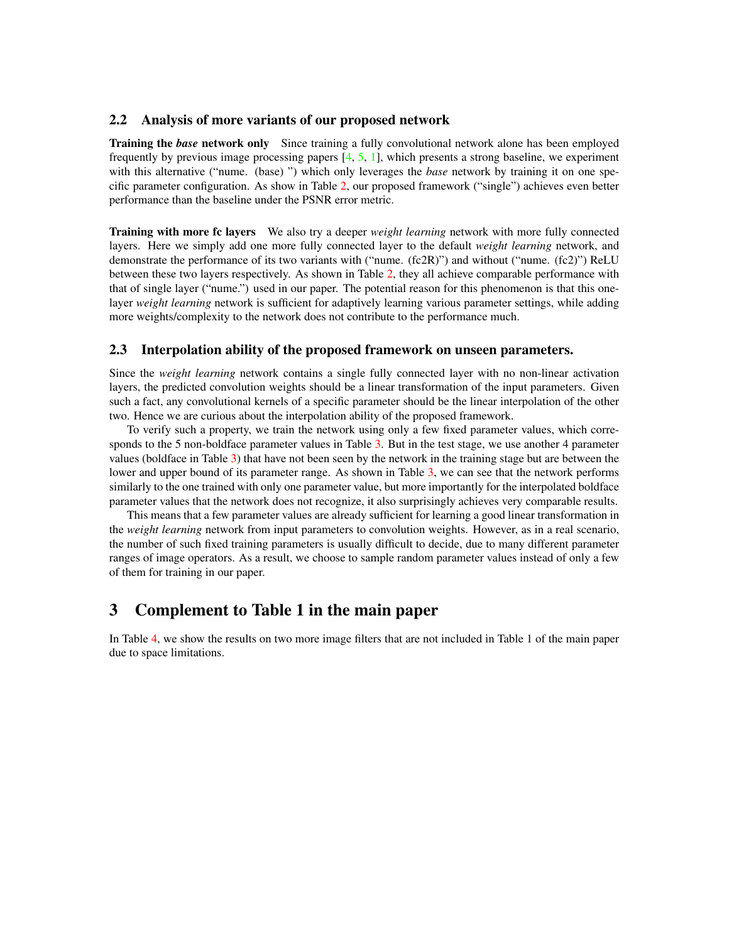#### <span id="page-2-1"></span>2.2 Analysis of more variants of our proposed network

Training the *base* network only Since training a fully convolutional network alone has been employed frequently by previous image processing papers  $[4, 5, 1]$  $[4, 5, 1]$  $[4, 5, 1]$  $[4, 5, 1]$  $[4, 5, 1]$ , which presents a strong baseline, we experiment with this alternative ("nume. (base)") which only leverages the *base* network by training it on one specific parameter configuration. As show in Table [2,](#page-1-1) our proposed framework ("single") achieves even better performance than the baseline under the PSNR error metric.

Training with more fc layers We also try a deeper *weight learning* network with more fully connected layers. Here we simply add one more fully connected layer to the default *weight learning* network, and demonstrate the performance of its two variants with ("nume. (fc2R)") and without ("nume. (fc2)") ReLU between these two layers respectively. As shown in Table [2,](#page-1-1) they all achieve comparable performance with that of single layer ("nume.") used in our paper. The potential reason for this phenomenon is that this onelayer *weight learning* network is sufficient for adaptively learning various parameter settings, while adding more weights/complexity to the network does not contribute to the performance much.

#### 2.3 Interpolation ability of the proposed framework on unseen parameters.

Since the *weight learning* network contains a single fully connected layer with no non-linear activation layers, the predicted convolution weights should be a linear transformation of the input parameters. Given such a fact, any convolutional kernels of a specific parameter should be the linear interpolation of the other two. Hence we are curious about the interpolation ability of the proposed framework.

To verify such a property, we train the network using only a few fixed parameter values, which corre-sponds to the 5 non-boldface parameter values in Table [3.](#page-1-2) But in the test stage, we use another 4 parameter values (boldface in Table [3\)](#page-1-2) that have not been seen by the network in the training stage but are between the lower and upper bound of its parameter range. As shown in Table [3,](#page-1-2) we can see that the network performs similarly to the one trained with only one parameter value, but more importantly for the interpolated boldface parameter values that the network does not recognize, it also surprisingly achieves very comparable results.

This means that a few parameter values are already sufficient for learning a good linear transformation in the *weight learning* network from input parameters to convolution weights. However, as in a real scenario, the number of such fixed training parameters is usually difficult to decide, due to many different parameter ranges of image operators. As a result, we choose to sample random parameter values instead of only a few of them for training in our paper.

### <span id="page-2-0"></span>3 Complement to Table 1 in the main paper

In Table [4,](#page-3-1) we show the results on two more image filters that are not included in Table 1 of the main paper due to space limitations.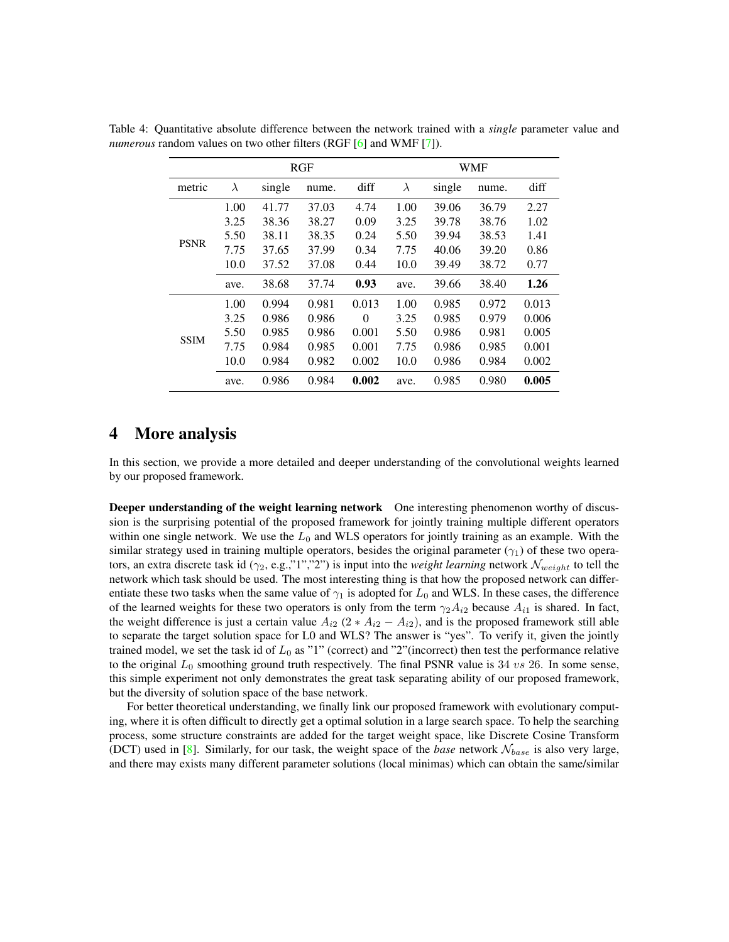<span id="page-3-1"></span>

|             |           |        | RGF   | <b>WMF</b> |           |        |       |       |  |
|-------------|-----------|--------|-------|------------|-----------|--------|-------|-------|--|
| metric      | $\lambda$ | single | nume. | diff       | $\lambda$ | single | nume. | diff  |  |
|             | 1.00      | 41.77  | 37.03 | 4.74       | 1.00      | 39.06  | 36.79 | 2.27  |  |
|             | 3.25      | 38.36  | 38.27 | 0.09       | 3.25      | 39.78  | 38.76 | 1.02  |  |
|             | 5.50      | 38.11  | 38.35 | 0.24       | 5.50      | 39.94  | 38.53 | 1.41  |  |
| <b>PSNR</b> | 7.75      | 37.65  | 37.99 | 0.34       | 7.75      | 40.06  | 39.20 | 0.86  |  |
|             | 10.0      | 37.52  | 37.08 | 0.44       | 10.0      | 39.49  | 38.72 | 0.77  |  |
|             | ave.      | 38.68  | 37.74 | 0.93       | ave.      | 39.66  | 38.40 | 1.26  |  |
|             | 1.00      | 0.994  | 0.981 | 0.013      | 1.00      | 0.985  | 0.972 | 0.013 |  |
|             | 3.25      | 0.986  | 0.986 | $\Omega$   | 3.25      | 0.985  | 0.979 | 0.006 |  |
| <b>SSIM</b> | 5.50      | 0.985  | 0.986 | 0.001      | 5.50      | 0.986  | 0.981 | 0.005 |  |
|             | 7.75      | 0.984  | 0.985 | 0.001      | 7.75      | 0.986  | 0.985 | 0.001 |  |
|             | 10.0      | 0.984  | 0.982 | 0.002      | 10.0      | 0.986  | 0.984 | 0.002 |  |
|             | ave.      | 0.986  | 0.984 | 0.002      | ave.      | 0.985  | 0.980 | 0.005 |  |

<span id="page-3-2"></span>Table 4: Quantitative absolute difference between the network trained with a *single* parameter value and *numerous* random values on two other filters (RGF [\[6\]](#page-6-5) and WMF [\[7\]](#page-6-6)).

### <span id="page-3-0"></span>4 More analysis

In this section, we provide a more detailed and deeper understanding of the convolutional weights learned by our proposed framework.

Deeper understanding of the weight learning network One interesting phenomenon worthy of discussion is the surprising potential of the proposed framework for jointly training multiple different operators within one single network. We use the  $L_0$  and WLS operators for jointly training as an example. With the similar strategy used in training multiple operators, besides the original parameter ( $\gamma_1$ ) of these two operators, an extra discrete task id ( $\gamma_2$ , e.g.,"1","2") is input into the *weight learning* network  $\mathcal{N}_{weight}$  to tell the network which task should be used. The most interesting thing is that how the proposed network can differentiate these two tasks when the same value of  $\gamma_1$  is adopted for  $L_0$  and WLS. In these cases, the difference of the learned weights for these two operators is only from the term  $\gamma_2 A_{i2}$  because  $A_{i1}$  is shared. In fact, the weight difference is just a certain value  $A_{i2}$  (2 \*  $A_{i2} - A_{i2}$ ), and is the proposed framework still able to separate the target solution space for L0 and WLS? The answer is "yes". To verify it, given the jointly trained model, we set the task id of  $L_0$  as "1" (correct) and "2"(incorrect) then test the performance relative to the original  $L_0$  smoothing ground truth respectively. The final PSNR value is 34  $vs$  26. In some sense, this simple experiment not only demonstrates the great task separating ability of our proposed framework, but the diversity of solution space of the base network.

For better theoretical understanding, we finally link our proposed framework with evolutionary computing, where it is often difficult to directly get a optimal solution in a large search space. To help the searching process, some structure constraints are added for the target weight space, like Discrete Cosine Transform (DCT) used in  $[8]$ . Similarly, for our task, the weight space of the *base* network  $N_{base}$  is also very large, and there may exists many different parameter solutions (local minimas) which can obtain the same/similar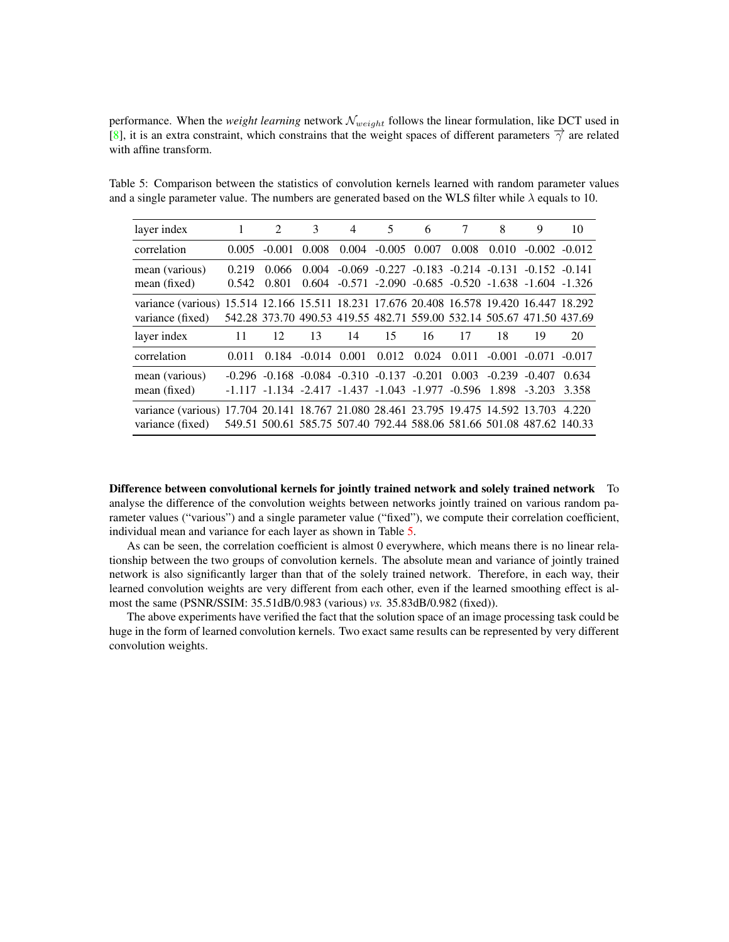<span id="page-4-1"></span>performance. When the *weight learning* network  $\mathcal{N}_{weight}$  follows the linear formulation, like DCT used in [\[8\]](#page-6-7), it is an extra constraint, which constrains that the weight spaces of different parameters  $\vec{\gamma}$  are related with affine transform.

<span id="page-4-0"></span>Table 5: Comparison between the statistics of convolution kernels learned with random parameter values and a single parameter value. The numbers are generated based on the WLS filter while  $\lambda$  equals to 10.

| layer index                                                                                                  | 1              | $\mathcal{L}$                                                                                                                       | 3                | $\overline{4}$ | 5                     | 6                                                                                                                                | 7     | 8     | 9                          | 10               |
|--------------------------------------------------------------------------------------------------------------|----------------|-------------------------------------------------------------------------------------------------------------------------------------|------------------|----------------|-----------------------|----------------------------------------------------------------------------------------------------------------------------------|-------|-------|----------------------------|------------------|
| correlation                                                                                                  | 0.005          | $-0.001$                                                                                                                            | 0.008            |                | $0.004 - 0.005 0.007$ |                                                                                                                                  | 0.008 | 0.010 |                            | $-0.002 - 0.012$ |
| mean (various)<br>mean (fixed)                                                                               | 0.219<br>0.542 | 0.066<br>0.801                                                                                                                      | 0.004<br>0.604   |                |                       | $-0.069$ $-0.227$ $-0.183$ $-0.214$ $-0.131$ $-0.152$ $-0.141$<br>$-0.571$ $-2.090$ $-0.685$ $-0.520$ $-1.638$ $-1.604$ $-1.326$ |       |       |                            |                  |
| variance (various) 15.514 12.166 15.511 18.231 17.676 20.408 16.578 19.420 16.447 18.292<br>variance (fixed) |                | 542.28 373.70 490.53 419.55 482.71 559.00 532.14 505.67 471.50 437.69                                                               |                  |                |                       |                                                                                                                                  |       |       |                            |                  |
|                                                                                                              |                |                                                                                                                                     |                  |                |                       |                                                                                                                                  |       |       |                            |                  |
|                                                                                                              | 11             | 12                                                                                                                                  | 13               | 14             | 15                    | 16                                                                                                                               | 17    | 18    | 19                         | 20               |
| layer index<br>correlation                                                                                   | 0.011          | 0.184                                                                                                                               | $-0.014$ $0.001$ |                |                       | $0.012 \quad 0.024$                                                                                                              | 0.011 |       | $-0.001$ $-0.071$ $-0.017$ |                  |
| mean (various)<br>mean (fixed)                                                                               |                | $-0.296$ $-0.168$ $-0.084$ $-0.310$ $-0.137$ $-0.201$ $0.003$ $-0.239$ $-0.407$<br>$-1.117 - 1.134 - 2.417 - 1.437 - 1.043 - 1.977$ |                  |                |                       |                                                                                                                                  |       |       | $-0.596$ 1.898 $-3.203$    | 0.634<br>3.358   |

Difference between convolutional kernels for jointly trained network and solely trained network To analyse the difference of the convolution weights between networks jointly trained on various random parameter values ("various") and a single parameter value ("fixed"), we compute their correlation coefficient, individual mean and variance for each layer as shown in Table [5.](#page-4-0)

As can be seen, the correlation coefficient is almost 0 everywhere, which means there is no linear relationship between the two groups of convolution kernels. The absolute mean and variance of jointly trained network is also significantly larger than that of the solely trained network. Therefore, in each way, their learned convolution weights are very different from each other, even if the learned smoothing effect is almost the same (PSNR/SSIM: 35.51dB/0.983 (various) *vs.* 35.83dB/0.982 (fixed)).

The above experiments have verified the fact that the solution space of an image processing task could be huge in the form of learned convolution kernels. Two exact same results can be represented by very different convolution weights.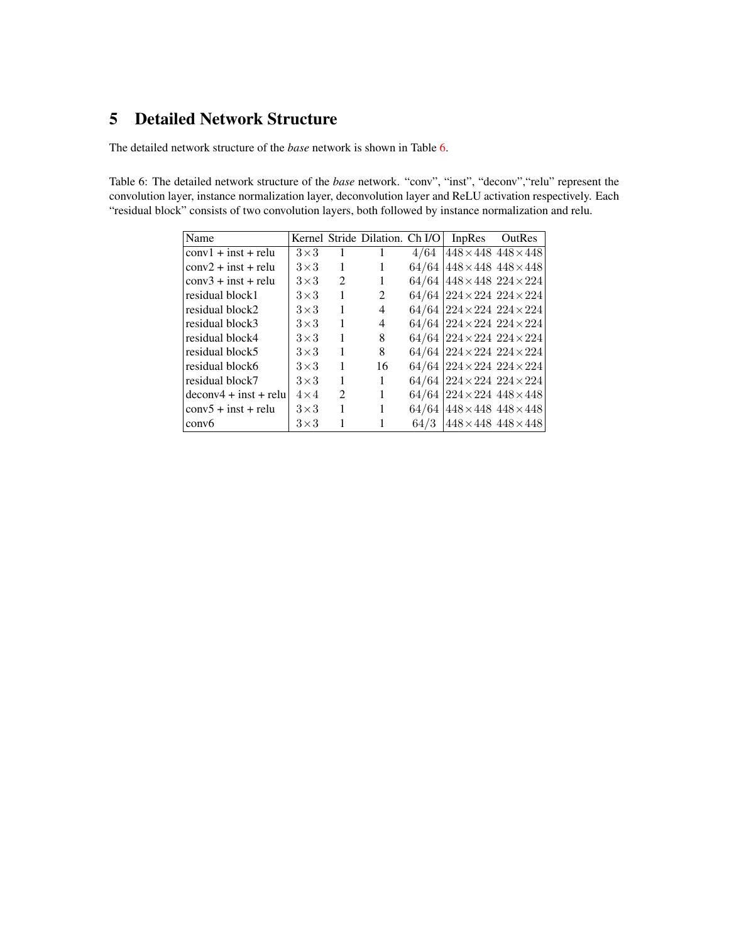## <span id="page-5-0"></span>5 Detailed Network Structure

The detailed network structure of the *base* network is shown in Table [6.](#page-5-1)

<span id="page-5-1"></span>Table 6: The detailed network structure of the *base* network. "conv", "inst", "deconv","relu" represent the convolution layer, instance normalization layer, deconvolution layer and ReLU activation respectively. Each "residual block" consists of two convolution layers, both followed by instance normalization and relu.

| Name                    |              |                | Kernel Stride Dilation. Ch I/O |       | InpRes                                      | OutRes                            |
|-------------------------|--------------|----------------|--------------------------------|-------|---------------------------------------------|-----------------------------------|
| $conv1 + inst + relu$   | $3\times3$   |                |                                | 4/64  |                                             | $448 \times 448$ $448 \times 448$ |
| $conv2 + inst + relu$   | $3\times3$   | 1              | 1                              |       | $64/64$ 448 $\times$ 448 448 $\times$ 448   |                                   |
| $conv3 + inst + relu$   | $3\times3$   | $\mathfrak{D}$ | 1                              | 64/64 | $448\times448$ $224\times224$               |                                   |
| residual block1         | $3\times3$   | $\mathbf{1}$   | 2                              |       | $64/64$ 224 $\times$ 224 $224 \times 224$   |                                   |
| residual block2         | $3\times3$   | 1              | 4                              |       | $64/64$ 224 $\times$ 224 224 $\times$ 224   |                                   |
| residual block3         | $3\times3$   | 1              | 4                              |       | $64/64$ 224 $\times$ 224 $224 \times 224$   |                                   |
| residual block4         | $3\times3$   | 1              | 8                              |       | $64/64$ 224 $\times$ 224 $224 \times 224$   |                                   |
| residual block5         | $3\times3$   | 1              | 8                              |       | $64/64$ 224 $\times$ 224 $224 \times 224$   |                                   |
| residual block6         | $3\times3$   | 1              | 16                             |       | $64/64$ 224 $\times$ 224 $224 \times 224$   |                                   |
| residual block7         | $3\times3$   | 1              | 1                              |       | $64/64$ 224 $\times$ 224 $224 \times 224$   |                                   |
| $deconv4 + inst + relu$ | $4 \times 4$ | 2              | 1                              |       | $64/64$ 224 $\times$ 224 448 $\times$ 448   |                                   |
| $conv5 + inst + relu$   | $3\times3$   | 1              |                                |       | $64/64$   $448 \times 448$ $448 \times 448$ |                                   |
| conv6                   | $3\times3$   |                |                                | 64/3  | $448 \times 448$ $448 \times 448$           |                                   |